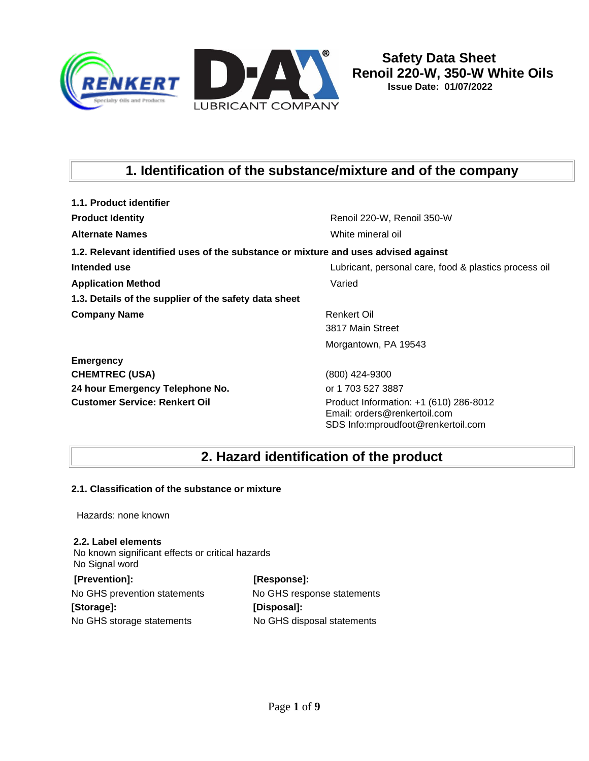

## **1. Identification of the substance/mixture and of the company**

| 1.1. Product identifier                               |                                                                                    |
|-------------------------------------------------------|------------------------------------------------------------------------------------|
| <b>Product Identity</b>                               | Renoil 220-W, Renoil 350-W                                                         |
| <b>Alternate Names</b>                                | White mineral oil                                                                  |
|                                                       | 1.2. Relevant identified uses of the substance or mixture and uses advised against |
| Intended use                                          | Lubricant, personal care, food & plastics process oil                              |
| <b>Application Method</b>                             | Varied                                                                             |
| 1.3. Details of the supplier of the safety data sheet |                                                                                    |
| <b>Company Name</b>                                   | Renkert Oil                                                                        |
|                                                       | 3817 Main Street                                                                   |
|                                                       | Morgantown, PA 19543                                                               |
| <b>Emergency</b>                                      |                                                                                    |
| <b>CHEMTREC (USA)</b>                                 | (800) 424-9300                                                                     |

**24 hour Emergency Telephone No.** or 1 703 527 3887

**Customer Service: Renkert Oil** Product Information: +1 (610) 286-8012 Email: orders@renkertoil.com SDS Info:mproudfoot@renkertoil.com

# **2. Hazard identification of the product**

#### **2.1. Classification of the substance or mixture**

Hazards: none known

#### **2.2. Label elements**

No known significant effects or critical hazards No Signal word

**[Prevention]: [Response]:** No GHS prevention statements No GHS response statements **[Storage]: [Disposal]:** No GHS storage statements No GHS disposal statements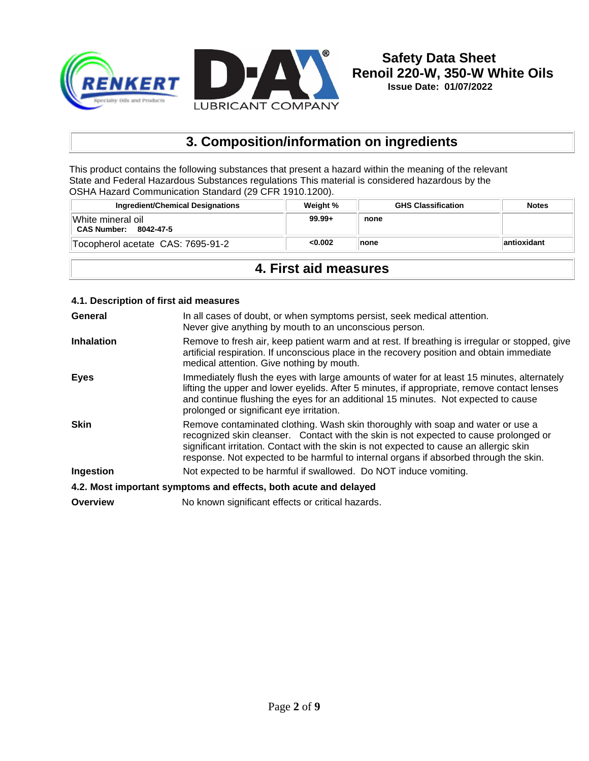

# **3. Composition/information on ingredients**

This product contains the following substances that present a hazard within the meaning of the relevant State and Federal Hazardous Substances regulations This material is considered hazardous by the OSHA Hazard Communication Standard (29 CFR 1910.1200).

| <b>Ingredient/Chemical Designations</b>              | Weight % | <b>GHS Classification</b> | <b>Notes</b> |
|------------------------------------------------------|----------|---------------------------|--------------|
| White mineral oil<br><b>CAS Number:</b><br>8042-47-5 | $99.99+$ | none                      |              |
| Tocopherol acetate CAS: 7695-91-2                    | <0.002   | none                      | lantioxidant |

### **4. First aid measures**

|                   | 4.1. Description of first aid measures                                                                                                                                                                                                                                                                                                                       |
|-------------------|--------------------------------------------------------------------------------------------------------------------------------------------------------------------------------------------------------------------------------------------------------------------------------------------------------------------------------------------------------------|
| General           | In all cases of doubt, or when symptoms persist, seek medical attention.<br>Never give anything by mouth to an unconscious person.                                                                                                                                                                                                                           |
| <b>Inhalation</b> | Remove to fresh air, keep patient warm and at rest. If breathing is irregular or stopped, give<br>artificial respiration. If unconscious place in the recovery position and obtain immediate<br>medical attention. Give nothing by mouth.                                                                                                                    |
| <b>Eyes</b>       | Immediately flush the eyes with large amounts of water for at least 15 minutes, alternately<br>lifting the upper and lower eyelids. After 5 minutes, if appropriate, remove contact lenses<br>and continue flushing the eyes for an additional 15 minutes. Not expected to cause<br>prolonged or significant eye irritation.                                 |
| <b>Skin</b>       | Remove contaminated clothing. Wash skin thoroughly with soap and water or use a<br>recognized skin cleanser. Contact with the skin is not expected to cause prolonged or<br>significant irritation. Contact with the skin is not expected to cause an allergic skin<br>response. Not expected to be harmful to internal organs if absorbed through the skin. |
| Ingestion         | Not expected to be harmful if swallowed. Do NOT induce vomiting.                                                                                                                                                                                                                                                                                             |
|                   | 4.2. Most important symptoms and effects, both acute and delayed                                                                                                                                                                                                                                                                                             |
| <b>Overview</b>   | No known significant effects or critical hazards.                                                                                                                                                                                                                                                                                                            |

#### Page **2** of **9**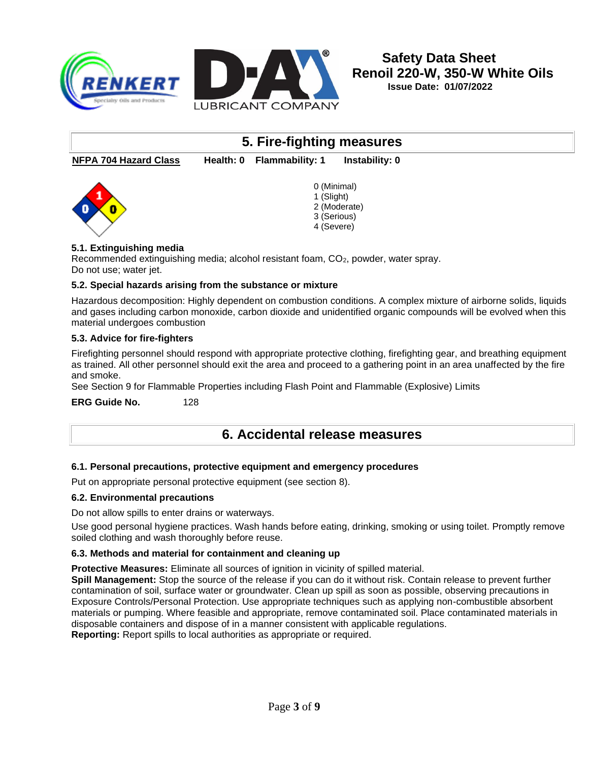

**5. Fire-fighting measures**

**NFPA 704 Hazard Class Health: 0 Flammability: 1 Instability: 0**



0 (Minimal) 1 (Slight) 2 (Moderate)

3 (Serious) 4 (Severe)

### **5.1. Extinguishing media**

Recommended extinguishing media; alcohol resistant foam, CO2, powder, water spray. Do not use; water jet.

#### **5.2. Special hazards arising from the substance or mixture**

Hazardous decomposition: Highly dependent on combustion conditions. A complex mixture of airborne solids, liquids and gases including carbon monoxide, carbon dioxide and unidentified organic compounds will be evolved when this material undergoes combustion

#### **5.3. Advice for fire-fighters**

Firefighting personnel should respond with appropriate protective clothing, firefighting gear, and breathing equipment as trained. All other personnel should exit the area and proceed to a gathering point in an area unaffected by the fire and smoke.

See Section 9 for Flammable Properties including Flash Point and Flammable (Explosive) Limits

**ERG Guide No.** 128

**6. Accidental release measures**

### **6.1. Personal precautions, protective equipment and emergency procedures**

Put on appropriate personal protective equipment (see section 8).

### **6.2. Environmental precautions**

Do not allow spills to enter drains or waterways.

Use good personal hygiene practices. Wash hands before eating, drinking, smoking or using toilet. Promptly remove soiled clothing and wash thoroughly before reuse.

### **6.3. Methods and material for containment and cleaning up**

**Protective Measures:** Eliminate all sources of ignition in vicinity of spilled material.

**Spill Management:** Stop the source of the release if you can do it without risk. Contain release to prevent further contamination of soil, surface water or groundwater. Clean up spill as soon as possible, observing precautions in Exposure Controls/Personal Protection. Use appropriate techniques such as applying non-combustible absorbent materials or pumping. Where feasible and appropriate, remove contaminated soil. Place contaminated materials in disposable containers and dispose of in a manner consistent with applicable regulations. **Reporting:** Report spills to local authorities as appropriate or required.

Page **3** of **9**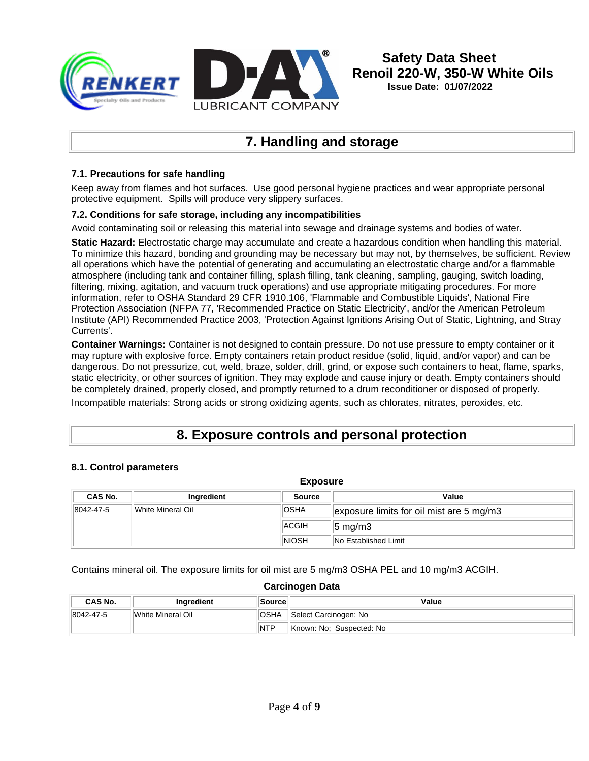

## **7. Handling and storage**

#### **7.1. Precautions for safe handling**

Keep away from flames and hot surfaces. Use good personal hygiene practices and wear appropriate personal protective equipment. Spills will produce very slippery surfaces.

#### **7.2. Conditions for safe storage, including any incompatibilities**

Avoid contaminating soil or releasing this material into sewage and drainage systems and bodies of water.

**Static Hazard:** Electrostatic charge may accumulate and create a hazardous condition when handling this material. To minimize this hazard, bonding and grounding may be necessary but may not, by themselves, be sufficient. Review all operations which have the potential of generating and accumulating an electrostatic charge and/or a flammable atmosphere (including tank and container filling, splash filling, tank cleaning, sampling, gauging, switch loading, filtering, mixing, agitation, and vacuum truck operations) and use appropriate mitigating procedures. For more information, refer to OSHA Standard 29 CFR 1910.106, 'Flammable and Combustible Liquids', National Fire Protection Association (NFPA 77, 'Recommended Practice on Static Electricity', and/or the American Petroleum Institute (API) Recommended Practice 2003, 'Protection Against Ignitions Arising Out of Static, Lightning, and Stray Currents'.

**Container Warnings:** Container is not designed to contain pressure. Do not use pressure to empty container or it may rupture with explosive force. Empty containers retain product residue (solid, liquid, and/or vapor) and can be dangerous. Do not pressurize, cut, weld, braze, solder, drill, grind, or expose such containers to heat, flame, sparks, static electricity, or other sources of ignition. They may explode and cause injury or death. Empty containers should be completely drained, properly closed, and promptly returned to a drum reconditioner or disposed of properly.

### Incompatible materials: Strong acids or strong oxidizing agents, such as chlorates, nitrates, peroxides, etc.

### **8. Exposure controls and personal protection**

#### **8.1. Control parameters**

| <b>Exposure</b>                                 |                   |              |                                          |  |  |
|-------------------------------------------------|-------------------|--------------|------------------------------------------|--|--|
| CAS No.<br>Value<br>Ingredient<br><b>Source</b> |                   |              |                                          |  |  |
| 8042-47-5                                       | White Mineral Oil | <b>OSHA</b>  | exposure limits for oil mist are 5 mg/m3 |  |  |
|                                                 |                   | ACGIH        | $5 \text{ mg/m}$ 3                       |  |  |
|                                                 |                   | <b>NIOSH</b> | <b>No Established Limit</b>              |  |  |

Contains mineral oil. The exposure limits for oil mist are 5 mg/m3 OSHA PEL and 10 mg/m3 ACGIH.

#### **Carcinogen Data**

| CAS No.   | Ingredient        | <b>Source</b> | Value                    |
|-----------|-------------------|---------------|--------------------------|
| 8042-47-5 | White Mineral Oil | <b>OSHA</b>   | Select Carcinogen: No    |
|           |                   | <b>NTP</b>    | Known: No: Suspected: No |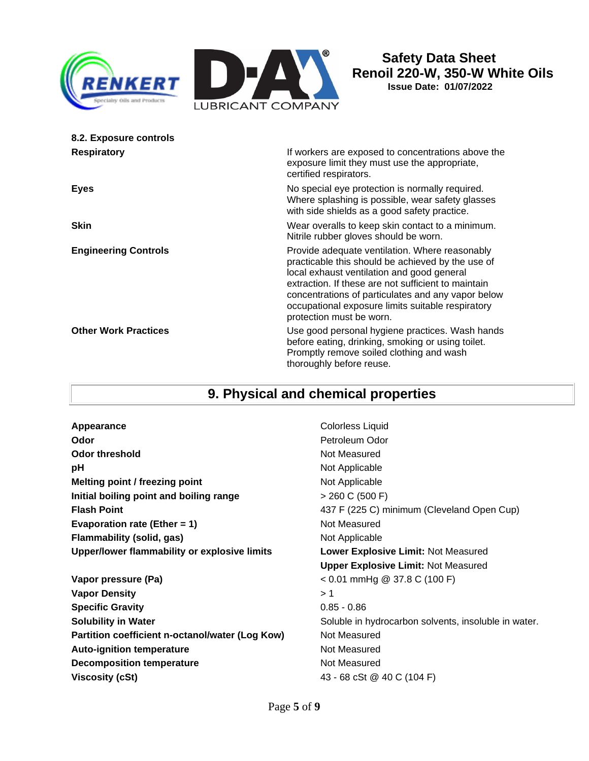

**8.2. Exposure controls**

 **Safety Data Sheet Renoil 220-W, 350-W White Oils Issue Date: 01/07/2022**

| <b>Respiratory</b>          | If workers are exposed to concentrations above the<br>exposure limit they must use the appropriate,<br>certified respirators.                                                                                                                                                                                                                   |
|-----------------------------|-------------------------------------------------------------------------------------------------------------------------------------------------------------------------------------------------------------------------------------------------------------------------------------------------------------------------------------------------|
| <b>Eyes</b>                 | No special eye protection is normally required.<br>Where splashing is possible, wear safety glasses<br>with side shields as a good safety practice.                                                                                                                                                                                             |
| <b>Skin</b>                 | Wear overalls to keep skin contact to a minimum.<br>Nitrile rubber gloves should be worn.                                                                                                                                                                                                                                                       |
| <b>Engineering Controls</b> | Provide adequate ventilation. Where reasonably<br>practicable this should be achieved by the use of<br>local exhaust ventilation and good general<br>extraction. If these are not sufficient to maintain<br>concentrations of particulates and any vapor below<br>occupational exposure limits suitable respiratory<br>protection must be worn. |
| <b>Other Work Practices</b> | Use good personal hygiene practices. Wash hands<br>before eating, drinking, smoking or using toilet.<br>Promptly remove soiled clothing and wash<br>thoroughly before reuse.                                                                                                                                                                    |

# **9. Physical and chemical properties**

Appearance **Colorless** Liquid **Odor** Petroleum Odor **Odor threshold** Not Measured **pH** Not Applicable **Melting point / freezing point** Not Applicable **Initial boiling point and boiling range**  $> 260 \text{ C } (500 \text{ F})$ **Evaporation rate (Ether = 1)** Not Measured **Flammability (solid, gas)** Not Applicable **Upper/lower flammability or explosive limits Lower Explosive Limit:** Not Measured

**Vapor pressure (Pa)**  $\leq 0.01$  mmHg @ 37.8 C (100 F) **Vapor Density**  $> 1$ **Specific Gravity** 0.85 - 0.86 **Partition coefficient n-octanol/water (Log Kow)** Not Measured Auto-ignition temperature **Not Measured Auto-ignition temperature Decomposition temperature** Not Measured **Viscosity (cSt)** 43 - 68 cSt @ 40 C (104 F)

**Flash Point Provides Account 120 and 437 F (225 C)** minimum (Cleveland Open Cup) **Upper Explosive Limit:** Not Measured **Solubility in Water Soluble in hydrocarbon solvents, insoluble in water.** Soluble in hydrocarbon solvents, insoluble in water.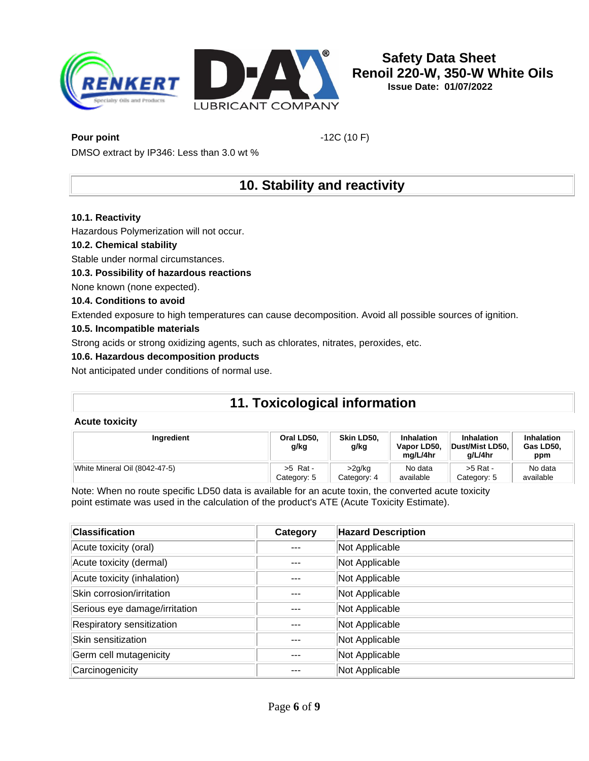

#### **Pour point**  $-12C (10 F)$

DMSO extract by IP346: Less than 3.0 wt %

### **10. Stability and reactivity**

#### **10.1. Reactivity**

Hazardous Polymerization will not occur.

#### **10.2. Chemical stability**

Stable under normal circumstances.

#### **10.3. Possibility of hazardous reactions**

None known (none expected).

#### **10.4. Conditions to avoid**

Extended exposure to high temperatures can cause decomposition. Avoid all possible sources of ignition.

#### **10.5. Incompatible materials**

Strong acids or strong oxidizing agents, such as chlorates, nitrates, peroxides, etc.

#### **10.6. Hazardous decomposition products**

Not anticipated under conditions of normal use.

# **11. Toxicological information**

#### **Acute toxicity**

| Ingredient                    | Oral LD50,<br>g/kg | Skin LD50.<br>g/kg | <b>Inhalation</b><br>Vapor LD50.<br>ma/L/4hr | <b>Inhalation</b><br>Dust/Mist LD50.<br>a/L/4hr | <b>Inhalation</b><br>Gas LD50,<br>ppm |
|-------------------------------|--------------------|--------------------|----------------------------------------------|-------------------------------------------------|---------------------------------------|
| White Mineral Oil (8042-47-5) | $>5$ Rat -         | >2q/kg             | No data                                      | $>5$ Rat -                                      | No data                               |
|                               | Category: 5        | Category: 4        | available                                    | Category: 5                                     | available                             |

Note: When no route specific LD50 data is available for an acute toxin, the converted acute toxicity point estimate was used in the calculation of the product's ATE (Acute Toxicity Estimate).

| <b>Classification</b>         | Category | <b>Hazard Description</b> |
|-------------------------------|----------|---------------------------|
| Acute toxicity (oral)         |          | Not Applicable            |
| Acute toxicity (dermal)       |          | Not Applicable            |
| Acute toxicity (inhalation)   |          | Not Applicable            |
| Skin corrosion/irritation     | ---      | Not Applicable            |
| Serious eye damage/irritation |          | Not Applicable            |
| Respiratory sensitization     |          | Not Applicable            |
| Skin sensitization            |          | Not Applicable            |
| Germ cell mutagenicity        |          | Not Applicable            |
| Carcinogenicity               |          | Not Applicable            |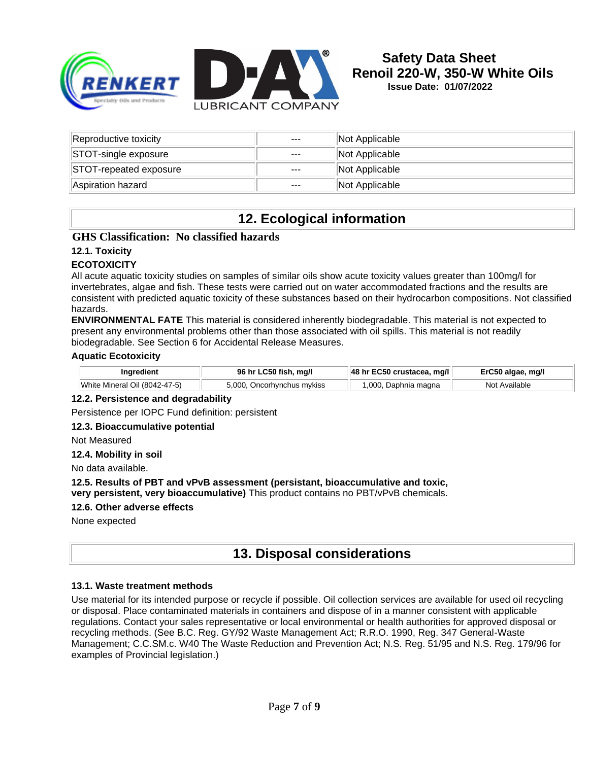

 **Safety Data Sheet Renoil 220-W, 350-W White Oils**

 **Issue Date: 01/07/2022**

| Reproductive toxicity  | $---$ | Not Applicable |
|------------------------|-------|----------------|
| STOT-single exposure   | $--$  | Not Applicable |
| STOT-repeated exposure | $---$ | Not Applicable |
| Aspiration hazard      | $--$  | Not Applicable |

# **12. Ecological information**

### **GHS Classification: No classified hazards**

#### **12.1. Toxicity**

#### **ECOTOXICITY**

All acute aquatic toxicity studies on samples of similar oils show acute toxicity values greater than 100mg/l for invertebrates, algae and fish. These tests were carried out on water accommodated fractions and the results are consistent with predicted aquatic toxicity of these substances based on their hydrocarbon compositions. Not classified hazards.

**ENVIRONMENTAL FATE** This material is considered inherently biodegradable. This material is not expected to present any environmental problems other than those associated with oil spills. This material is not readily biodegradable. See Section 6 for Accidental Release Measures.

#### **Aquatic Ecotoxicity**

| Inaredient                    | 96 hr LC50 fish, mg/l | <b>C50 crustacea, mg/l</b><br>nr | ErC50 algae, mg/l |
|-------------------------------|-----------------------|----------------------------------|-------------------|
| White Mineral Oil (8042-47-5) | .000                  | .000.                            | Available         |
|                               | Oncorhvnchus mvkiss   | . Daphnia magna                  | Not               |

#### **12.2. Persistence and degradability**

Persistence per IOPC Fund definition: persistent

#### **12.3. Bioaccumulative potential**

Not Measured

#### **12.4. Mobility in soil**

No data available.

**12.5. Results of PBT and vPvB assessment (persistant, bioaccumulative and toxic,** 

**very persistent, very bioaccumulative)** This product contains no PBT/vPvB chemicals.

#### **12.6. Other adverse effects**

None expected

### **13. Disposal considerations**

#### **13.1. Waste treatment methods**

Use material for its intended purpose or recycle if possible. Oil collection services are available for used oil recycling or disposal. Place contaminated materials in containers and dispose of in a manner consistent with applicable regulations. Contact your sales representative or local environmental or health authorities for approved disposal or recycling methods. (See B.C. Reg. GY/92 Waste Management Act; R.R.O. 1990, Reg. 347 General-Waste Management; C.C.SM.c. W40 The Waste Reduction and Prevention Act; N.S. Reg. 51/95 and N.S. Reg. 179/96 for examples of Provincial legislation.)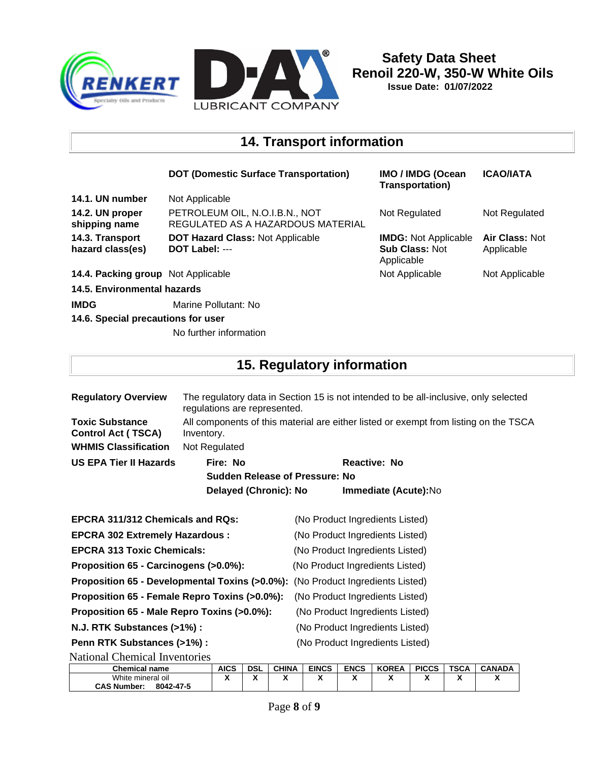

# **14. Transport information**

|                                     | <b>DOT (Domestic Surface Transportation)</b>                        | IMO / IMDG (Ocean<br><b>Transportation</b> )                       | <b>ICAO/IATA</b>             |
|-------------------------------------|---------------------------------------------------------------------|--------------------------------------------------------------------|------------------------------|
| 14.1. UN number                     | Not Applicable                                                      |                                                                    |                              |
| 14.2. UN proper<br>shipping name    | PETROLEUM OIL, N.O.I.B.N., NOT<br>REGULATED AS A HAZARDOUS MATERIAL | Not Regulated                                                      | Not Regulated                |
| 14.3. Transport<br>hazard class(es) | <b>DOT Hazard Class: Not Applicable</b><br>DOT Label: ---           | <b>IMDG:</b> Not Applicable<br><b>Sub Class: Not</b><br>Applicable | Air Class: Not<br>Applicable |
| 14.4. Packing group Not Applicable  |                                                                     | Not Applicable                                                     | Not Applicable               |
| 14.5. Environmental hazards         |                                                                     |                                                                    |                              |
| <b>IMDG</b>                         | Marine Pollutant: No                                                |                                                                    |                              |
| 14.6. Special precautions for user  |                                                                     |                                                                    |                              |

No further information

# **15. Regulatory information**

| <b>Regulatory Overview</b>                          | The regulatory data in Section 15 is not intended to be all-inclusive, only selected<br>regulations are represented. |  |                                                                                      |  |
|-----------------------------------------------------|----------------------------------------------------------------------------------------------------------------------|--|--------------------------------------------------------------------------------------|--|
| <b>Toxic Substance</b><br><b>Control Act (TSCA)</b> | Inventory.                                                                                                           |  | All components of this material are either listed or exempt from listing on the TSCA |  |
| <b>WHMIS Classification</b>                         | Not Regulated                                                                                                        |  |                                                                                      |  |
| <b>US EPA Tier II Hazards</b>                       | Fire: No                                                                                                             |  | Reactive: No                                                                         |  |
|                                                     | <b>Sudden Release of Pressure: No</b>                                                                                |  |                                                                                      |  |
|                                                     | Delayed (Chronic): No                                                                                                |  | Immediate (Acute):No                                                                 |  |
|                                                     |                                                                                                                      |  |                                                                                      |  |
| <b>EPCRA 311/312 Chemicals and RQs:</b>             |                                                                                                                      |  | (No Product Ingredients Listed)                                                      |  |
| <b>EPCRA 302 Extremely Hazardous:</b>               |                                                                                                                      |  | (No Product Ingredients Listed)                                                      |  |
| <b>EPCRA 313 Toxic Chemicals:</b>                   |                                                                                                                      |  | (No Product Ingredients Listed)                                                      |  |
| Proposition 65 - Carcinogens (>0.0%):               |                                                                                                                      |  | (No Product Ingredients Listed)                                                      |  |
|                                                     | Proposition 65 - Developmental Toxins (>0.0%): (No Product Ingredients Listed)                                       |  |                                                                                      |  |
| Proposition 65 - Female Repro Toxins (>0.0%):       |                                                                                                                      |  | (No Product Ingredients Listed)                                                      |  |
| Proposition 65 - Male Repro Toxins (>0.0%):         |                                                                                                                      |  | (No Product Ingredients Listed)                                                      |  |
| N.J. RTK Substances (>1%) :                         |                                                                                                                      |  | (No Product Ingredients Listed)                                                      |  |
| Penn RTK Substances (>1%) :                         |                                                                                                                      |  | (No Product Ingredients Listed)                                                      |  |
|                                                     |                                                                                                                      |  |                                                                                      |  |

National Chemical Inventories

| <b>Chemical name</b>            | <b>AICS</b> | <b>DSL</b>           | <b>CHINA</b> | <b>EINCS</b> | <b>ENCS</b> | <b>KOREA</b> | <b>PICCS</b> | <b>TSCA</b>                          | <b>CANADA</b> |
|---------------------------------|-------------|----------------------|--------------|--------------|-------------|--------------|--------------|--------------------------------------|---------------|
| White mineral oil               | - -<br>. .  | $\ddot{\phantom{1}}$ |              | - -          |             |              |              | $\ddot{\phantom{1}}$<br>$\mathbf{v}$ |               |
| <b>CAS Number:</b><br>8042-47-5 |             |                      |              |              |             |              |              |                                      |               |